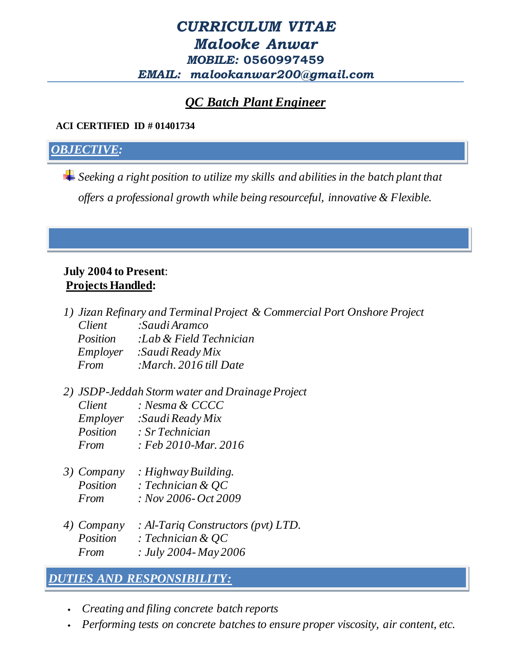## *CURRICULUM VITAE Malooke Anwar MOBILE:* **0560997459** *EMAIL: malookanwar200@gmail.com*

# *QC Batch Plant Engineer*

#### **ACI CERTIFIED ID # 01401734**

### *OBJECTIVE:*

*Seeking a right position to utilize my skills and abilities in the batch plant that offers a professional growth while being resourceful, innovative & Flexible.*

#### **July 2004 to Present**:  **Projects Handled:**

|                 | 1) Jizan Refinary and Terminal Project & Commercial Port Onshore Project |
|-----------------|--------------------------------------------------------------------------|
| Client          | :Saudi Aramco                                                            |
| <i>Position</i> | :Lab & Field Technician                                                  |
| Employer        | :Saudi Ready Mix                                                         |
| From            | :March. 2016 till Date                                                   |
|                 |                                                                          |

*2) JSDP-Jeddah Storm water and Drainage Project*

| Client   | : Nesma & CCCC       |
|----------|----------------------|
| Employer | : Saudi Ready Mix    |
| Position | : Sr Technician      |
| From     | : Feb 2010-Mar. 2016 |
|          |                      |

| 3) Company      | : Highway Building.     |
|-----------------|-------------------------|
| <i>Position</i> | : Technician & $QC$     |
| From            | $: Nov 2006 - Oct 2009$ |

*4) Company : Al-Tariq Constructors (pvt) LTD. Position : Technician & QC From : July 2004- May 2006*

## *DUTIES AND RESPONSIBILITY:*

- *Creating and filing concrete batch reports*
- *Performing tests on concrete batches to ensure proper viscosity, air content, etc.*